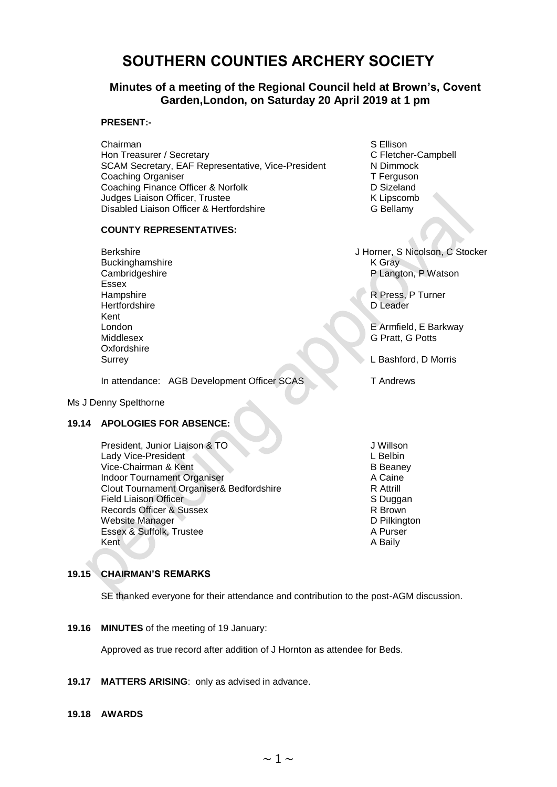# **SOUTHERN COUNTIES ARCHERY SOCIETY**

# **Minutes of a meeting of the Regional Council held at Brown's, Covent Garden,London, on Saturday 20 April 2019 at 1 pm**

# **PRESENT:-**

Chairman S Ellison Hon Treasurer / Secretary **C** Fletcher-Campbell SCAM Secretary, EAF Representative, Vice-President N Dimmock Coaching Organiser **T** Ferguson Coaching Finance Officer & Norfolk D Sizeland Judges Liaison Officer, Trustee<br>
Disabled Liaison Officer & Hertfordshire<br>
G Bellamy Disabled Liaison Officer & Hertfordshire

# **COUNTY REPRESENTATIVES:**

Buckinghamshire K Gray<br>Cambridgeshire K Gray<br>P Langt Essex<br>Hampshire Hertfordshire Kent Middlesex G Pratt, G Potts **Oxfordshire** 

In attendance: AGB Development Officer SCAS T Andrews

#### Ms J Denny Spelthorne

### **19.14 APOLOGIES FOR ABSENCE:**

President, Junior Liaison & TO J Willson & TO J Willson Lady Vice-President Lady Vice-President Vice-Chairman & Kent B Beaney Indoor Tournament Organiser<br>Clout Tournament Organiser& Bedfordshire<br>R Attrill Clout Tournament Organiser& Bedfordshire Field Liaison Officer **State Accord Contract Contract Contract Contract Contract Contract Contract Contract Contract Contract Contract Contract Contract Contract Contract Contract Contract Contract Contract Contract Contra** Records Officer & Sussex Website Manager National Control of the United States Control of Delikington<br>
D Pilkington<br>
D Purser Essex & Suffolk, Trustee Kent A Baily A Baily A Baily A Baily A Baily A Baily A Baily

Berkshire J Horner, S Nicolson, C Stocker P Langton, P Watson

R Press, P Turner<br>D Leader

London E Armfield, E Barkway

Surrey L Bashford, D Morris

### **19.15 CHAIRMAN'S REMARKS**

SE thanked everyone for their attendance and contribution to the post-AGM discussion.

**19.16 MINUTES** of the meeting of 19 January:

Approved as true record after addition of J Hornton as attendee for Beds.

**19.17 MATTERS ARISING**: only as advised in advance.

#### **19.18 AWARDS**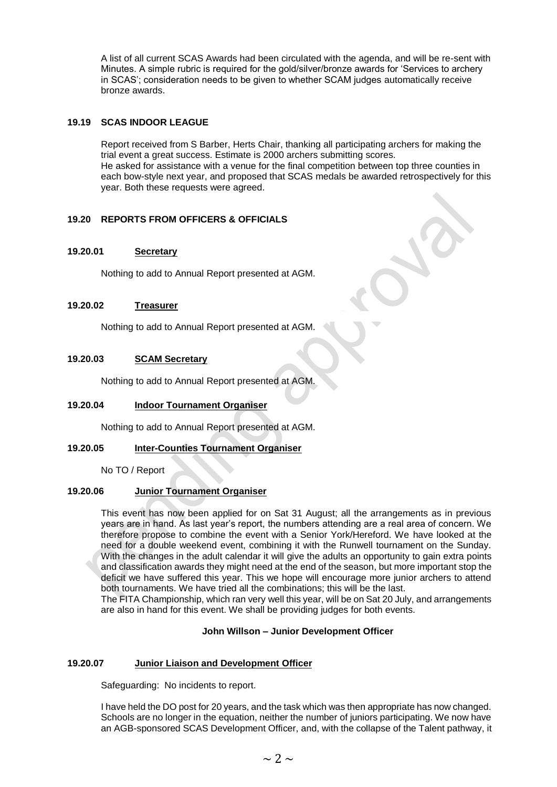A list of all current SCAS Awards had been circulated with the agenda, and will be re-sent with Minutes. A simple rubric is required for the gold/silver/bronze awards for 'Services to archery in SCAS'; consideration needs to be given to whether SCAM judges automatically receive bronze awards.

### **19.19 SCAS INDOOR LEAGUE**

Report received from S Barber, Herts Chair, thanking all participating archers for making the trial event a great success. Estimate is 2000 archers submitting scores. He asked for assistance with a venue for the final competition between top three counties in each bow-style next year, and proposed that SCAS medals be awarded retrospectively for this year. Both these requests were agreed.

# **19.20 REPORTS FROM OFFICERS & OFFICIALS**

### **19.20.01 Secretary**

Nothing to add to Annual Report presented at AGM.

## **19.20.02 Treasurer**

Nothing to add to Annual Report presented at AGM.

#### **19.20.03 SCAM Secretary**

Nothing to add to Annual Report presented at AGM.

#### **19.20.04 Indoor Tournament Organiser**

Nothing to add to Annual Report presented at AGM.

### **19.20.05 Inter-Counties Tournament Organiser**

No TO / Report

### **19.20.06 Junior Tournament Organiser**

This event has now been applied for on Sat 31 August; all the arrangements as in previous years are in hand. As last year's report, the numbers attending are a real area of concern. We therefore propose to combine the event with a Senior York/Hereford. We have looked at the need for a double weekend event, combining it with the Runwell tournament on the Sunday. With the changes in the adult calendar it will give the adults an opportunity to gain extra points and classification awards they might need at the end of the season, but more important stop the deficit we have suffered this year. This we hope will encourage more junior archers to attend both tournaments. We have tried all the combinations; this will be the last.

The FITA Championship, which ran very well this year, will be on Sat 20 July, and arrangements are also in hand for this event. We shall be providing judges for both events.

#### **John Willson – Junior Development Officer**

#### **19.20.07 Junior Liaison and Development Officer**

Safeguarding: No incidents to report.

I have held the DO post for 20 years, and the task which was then appropriate has now changed. Schools are no longer in the equation, neither the number of juniors participating. We now have an AGB-sponsored SCAS Development Officer, and, with the collapse of the Talent pathway, it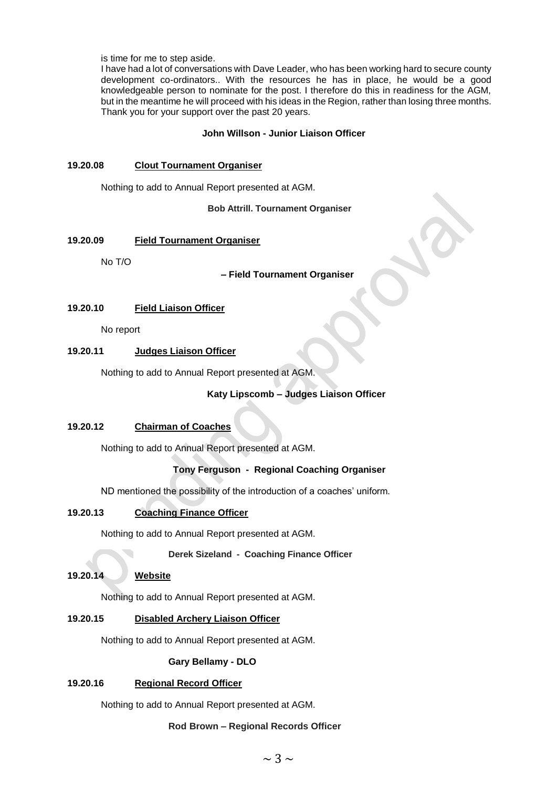is time for me to step aside.

I have had a lot of conversations with Dave Leader, who has been working hard to secure county development co-ordinators.. With the resources he has in place, he would be a good knowledgeable person to nominate for the post. I therefore do this in readiness for the AGM, but in the meantime he will proceed with his ideas in the Region, rather than losing three months. Thank you for your support over the past 20 years.

#### **John Willson - Junior Liaison Officer**

#### **19.20.08 Clout Tournament Organiser**

Nothing to add to Annual Report presented at AGM.

**Bob Attrill. Tournament Organiser**

### **19.20.09 Field Tournament Organiser**

No T/O

**– Field Tournament Organiser**

### **19.20.10 Field Liaison Officer**

No report

### **19.20.11 Judges Liaison Officer**

Nothing to add to Annual Report presented at AGM.

## **Katy Lipscomb – Judges Liaison Officer**

## **19.20.12 Chairman of Coaches**

Nothing to add to Annual Report presented at AGM.

# **Tony Ferguson - Regional Coaching Organiser**

ND mentioned the possibility of the introduction of a coaches' uniform.

### **19.20.13 Coaching Finance Officer**

Nothing to add to Annual Report presented at AGM.

**Derek Sizeland - Coaching Finance Officer**

### **19.20.14 Website**

Nothing to add to Annual Report presented at AGM.

## **19.20.15 Disabled Archery Liaison Officer**

Nothing to add to Annual Report presented at AGM.

## **Gary Bellamy - DLO**

### **19.20.16 Regional Record Officer**

Nothing to add to Annual Report presented at AGM.

### **Rod Brown – Regional Records Officer**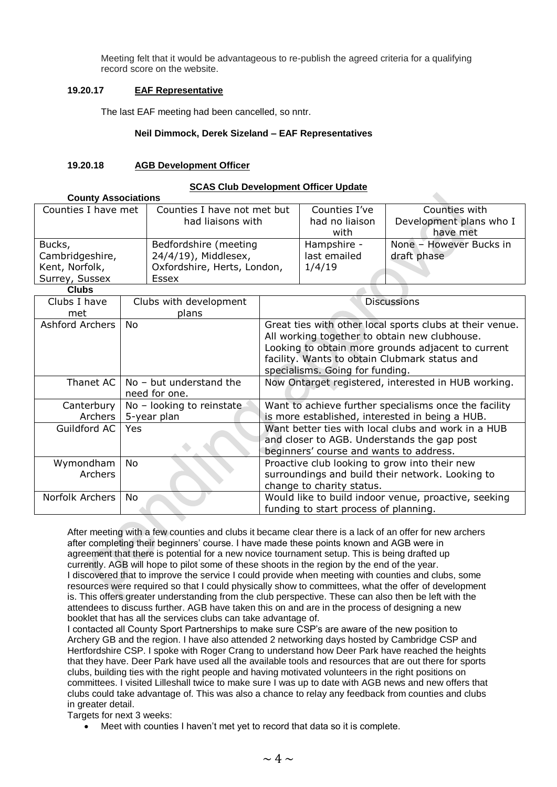Meeting felt that it would be advantageous to re-publish the agreed criteria for a qualifying record score on the website.

## **19.20.17 EAF Representative**

The last EAF meeting had been cancelled, so nntr.

### **Neil Dimmock, Derek Sizeland – EAF Representatives**

### **19.20.18 AGB Development Officer**

#### **SCAS Club Development Officer Update**

| <b>County Associations</b> |                             |                |                         |  |  |
|----------------------------|-----------------------------|----------------|-------------------------|--|--|
| Counties I have met        | Counties I have not met but | Counties I've  | Counties with           |  |  |
|                            | had liaisons with           | had no liaison | Development plans who I |  |  |
|                            |                             | with           | have met                |  |  |
| Bucks,                     | Bedfordshire (meeting       | Hampshire -    | None - However Bucks in |  |  |
| Cambridgeshire,            | 24/4/19), Middlesex,        | last emailed   | draft phase             |  |  |
| Kent, Norfolk,             | Oxfordshire, Herts, London, | 1/4/19         |                         |  |  |
| Surrey, Sussex             | Essex                       |                |                         |  |  |
| P <sub>1</sub>             |                             |                |                         |  |  |

**Clubs**

| viuws           |                                                            |                                                                                                                                                                                                                                                     |
|-----------------|------------------------------------------------------------|-----------------------------------------------------------------------------------------------------------------------------------------------------------------------------------------------------------------------------------------------------|
| Clubs I have    | Clubs with development                                     | <b>Discussions</b>                                                                                                                                                                                                                                  |
| met             | plans                                                      |                                                                                                                                                                                                                                                     |
| Ashford Archers | No.                                                        | Great ties with other local sports clubs at their venue.<br>All working together to obtain new clubhouse.<br>Looking to obtain more grounds adjacent to current<br>facility. Wants to obtain Clubmark status and<br>specialisms. Going for funding. |
|                 | Thanet AC $\vert$ No - but understand the<br>need for one. | Now Ontarget registered, interested in HUB working.                                                                                                                                                                                                 |
| Canterbury      | No - looking to reinstate                                  | Want to achieve further specialisms once the facility                                                                                                                                                                                               |
| Archers         | 5-year plan                                                | is more established, interested in being a HUB.                                                                                                                                                                                                     |
| Guildford AC    | Yes.                                                       | Want better ties with local clubs and work in a HUB<br>and closer to AGB. Understands the gap post<br>beginners' course and wants to address.                                                                                                       |
| Wymondham       | <b>No</b>                                                  | Proactive club looking to grow into their new                                                                                                                                                                                                       |
| <b>Archers</b>  |                                                            | surroundings and build their network. Looking to                                                                                                                                                                                                    |
|                 |                                                            | change to charity status.                                                                                                                                                                                                                           |
| Norfolk Archers | No                                                         | Would like to build indoor venue, proactive, seeking<br>funding to start process of planning.                                                                                                                                                       |

After meeting with a few counties and clubs it became clear there is a lack of an offer for new archers after completing their beginners' course. I have made these points known and AGB were in agreement that there is potential for a new novice tournament setup. This is being drafted up currently. AGB will hope to pilot some of these shoots in the region by the end of the year. I discovered that to improve the service I could provide when meeting with counties and clubs, some resources were required so that I could physically show to committees, what the offer of development is. This offers greater understanding from the club perspective. These can also then be left with the attendees to discuss further. AGB have taken this on and are in the process of designing a new booklet that has all the services clubs can take advantage of.

I contacted all County Sport Partnerships to make sure CSP's are aware of the new position to Archery GB and the region. I have also attended 2 networking days hosted by Cambridge CSP and Hertfordshire CSP. I spoke with Roger Crang to understand how Deer Park have reached the heights that they have. Deer Park have used all the available tools and resources that are out there for sports clubs, building ties with the right people and having motivated volunteers in the right positions on committees. I visited Lilleshall twice to make sure I was up to date with AGB news and new offers that clubs could take advantage of. This was also a chance to relay any feedback from counties and clubs in greater detail.

Targets for next 3 weeks:

Meet with counties I haven't met yet to record that data so it is complete.